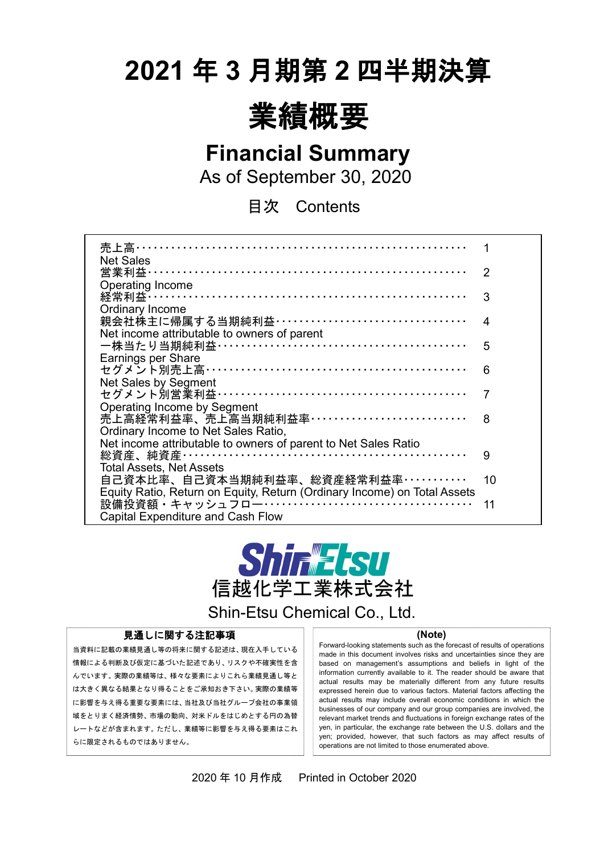# **2021** 年 **3** 月期第 **2** 四半期決算



**Financial Summary**

As of September 30, 2020

目次 Contents

| 売上高………………………………………………                                                    |    |
|--------------------------------------------------------------------------|----|
| <b>Net Sales</b>                                                         |    |
| 営業利益…………………………………………………………                                               | 2  |
| Operating Income                                                         |    |
| 経常利益 ……………………………………………………………                                             | 3  |
| Ordinary Income                                                          |    |
| 親会社株主に帰属する当期純利益 ··································                       | 4  |
| Net income attributable to owners of parent                              |    |
| 一株当たり当期純利益 ……………………………………………                                             | 5  |
| Earnings per Share                                                       |    |
| セグメント別売上高……………………………………………                                               | 6  |
| Net Sales by Segment                                                     |    |
| セグメント別営業利益 ……………………………………………                                             | 7  |
| <b>Operating Income by Segment</b>                                       |    |
| 売上高経常利益率、売上高当期純利益率……………………………                                            | 8  |
| Ordinary Income to Net Sales Ratio,                                      |    |
| Net income attributable to owners of parent to Net Sales Ratio           |    |
|                                                                          | 9  |
| <b>Total Assets, Net Assets</b>                                          |    |
| 自己資本比率、自己資本当期純利益率、総資産経常利益率・・・・・・・・・・・                                    | 10 |
| Equity Ratio, Return on Equity, Return (Ordinary Income) on Total Assets |    |
|                                                                          | 11 |
| <b>Capital Expenditure and Cash Flow</b>                                 |    |



Shin-Etsu Chemical Co., Ltd.

#### 見通しに関する注記事項

当資料に記載の業績見通し等の将来に関する記述は、現在入手している 情報による判断及び仮定に基づいた記述であり、リスクや不確実性を含 んでいます。実際の業績等は、様々な要素によりこれら業績見通し等と は大きく異なる結果となり得ることをご承知おき下さい。実際の業績等 に影響を与え得る重要な要素には、当社及び当社グループ会社の事業領 域をとりまく経済情勢、市場の動向、対米ドルをはじめとする円の為替 レートなどが含まれます。ただし、業績等に影響を与え得る要素はこれ らに限定されるものではありません。

 $\overline{a}$ 

#### **(Note)**

Forward-looking statements such as the forecast of results of operations made in this document involves risks and uncertainties since they are based on management's assumptions and beliefs in light of the information currently available to it. The reader should be aware that actual results may be materially different from any future results expressed herein due to various factors. Material factors affecting the actual results may include overall economic conditions in which the businesses of our company and our group companies are involved, the relevant market trends and fluctuations in foreign exchange rates of the yen, in particular, the exchange rate between the U.S. dollars and the yen; provided, however, that such factors as may affect results of operations are not limited to those enumerated above.

2020 年 10 月作成 Printed in October 2020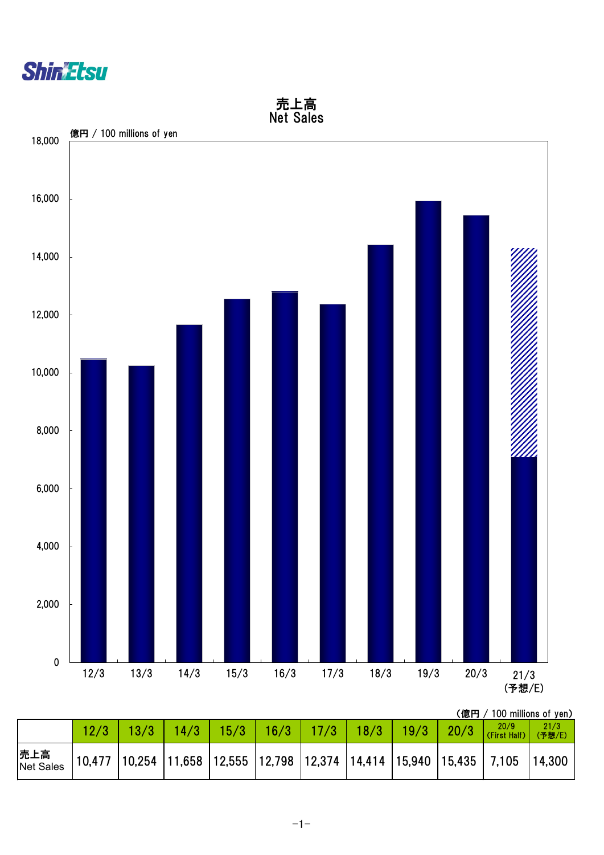



(億円 / 100 millions of yen)

|                   |  |  |                                                                                                |  |  | $21/3$<br>(予想/E) |
|-------------------|--|--|------------------------------------------------------------------------------------------------|--|--|------------------|
| 売上高<br> Net Sales |  |  | $\vert$ 10,477  10,254  11,658  12,555  12,798  12,374  14,414  15,940  15,435   7,105  14,300 |  |  |                  |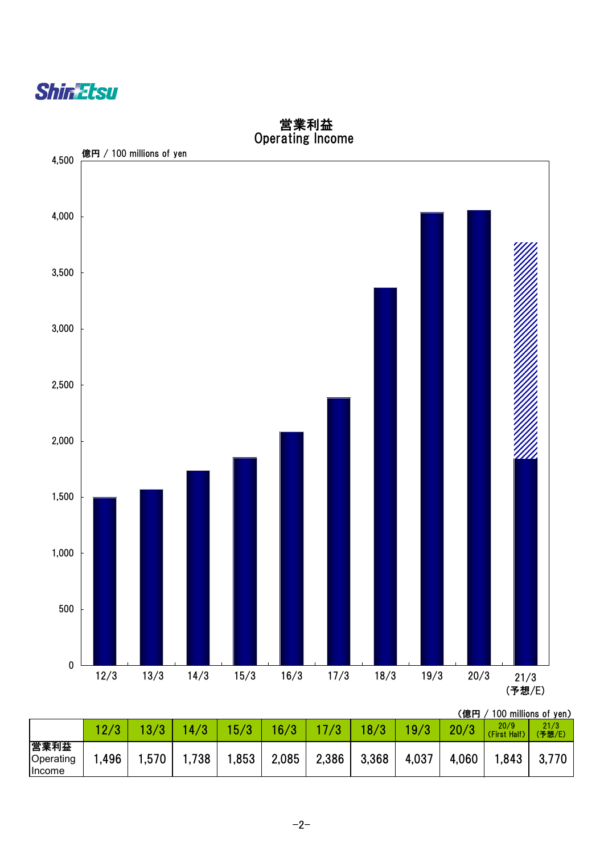



 営業利益 Operating Income

(億円 / 100 millions of yen)

|                                    |      |      | 4/3   | 15/3  | 16/3  | /3    | 18/3  | 19/3  | 20/3  | 20/9<br><b>Half</b><br>(First | 21/3<br>(予想/E) |
|------------------------------------|------|------|-------|-------|-------|-------|-------|-------|-------|-------------------------------|----------------|
| 営業利益<br>Operating<br><b>Income</b> | .496 | ,570 | .,738 | 1,853 | 2,085 | 2,386 | 3,368 | 4,037 | 4,060 | .843                          | 3,770          |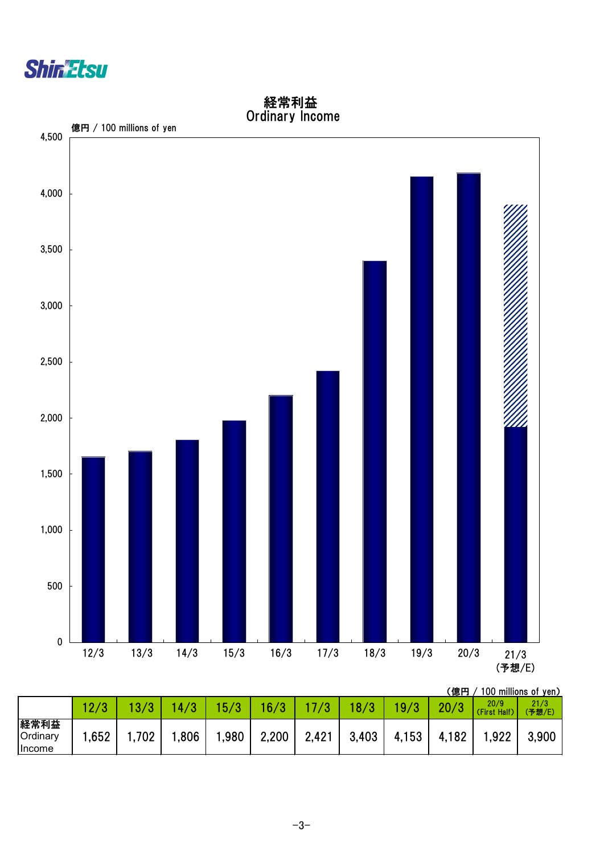

 $\overline{0}$ 500 1,000 1,500 2,000 2,500 3,000 3,500 4,000 4,500 12/3 13/3 14/3 15/3 16/3 17/3 18/3 19/3 20/3 21/3 21/3<br>(予想/E) 億円 / 100 millions of yen

| 経常利益                   |  |
|------------------------|--|
| <b>Ordinary Income</b> |  |

|                                          |      |     |      |      |       |       |       |       | 〔億円   |                         | 100 millions of yen) |
|------------------------------------------|------|-----|------|------|-------|-------|-------|-------|-------|-------------------------|----------------------|
|                                          |      |     | 4/3  | 15/3 | 16/3  |       | 18/3  | 19/3  | 20/3  | 20/9<br>(First<br>Half) | 21/3<br>(予想/E)       |
| 経常利益<br><b>Ordinary</b><br><b>Income</b> | .652 | 702 | ,806 | ,980 | 2,200 | 2,421 | 3,403 | 4,153 | 4,182 | ,922                    | 3,900                |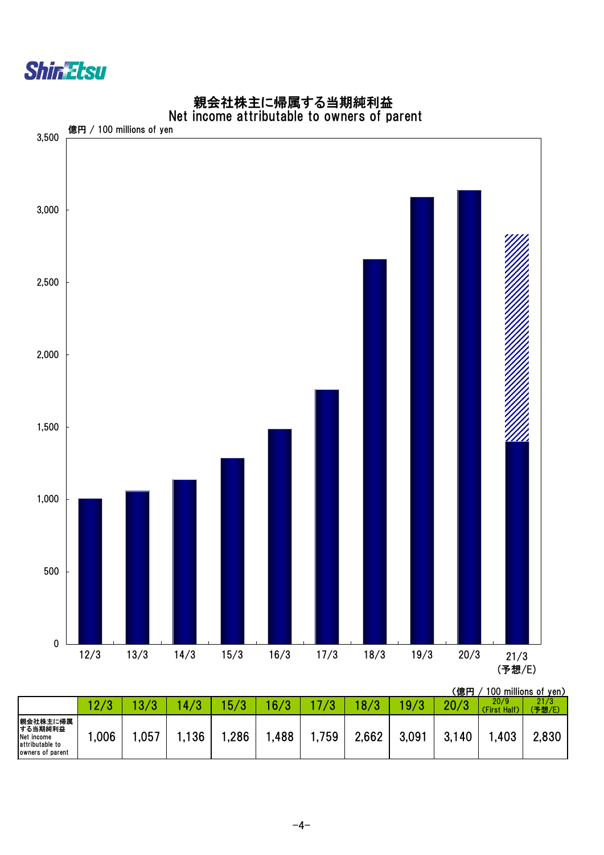



### 親会社株主に帰属する当期純利益 Net income attributable to owners of parent

|                                                                          |                  |      |     |      |      |            |       |       | 、応口         |                      | <b>TOO THILIUTIS OF YELL</b> |
|--------------------------------------------------------------------------|------------------|------|-----|------|------|------------|-------|-------|-------------|----------------------|------------------------------|
|                                                                          | 12<br>$\epsilon$ | റ    | 72  | F/2  | 16/3 | $\sqrt{2}$ |       |       | $\Omega$ /0 | 20/9<br>(First Half) | 21/3<br>(予想/E)               |
| 親会社株主に帰属<br>する当期純利益<br>Net income<br>attributable to<br>owners of parent | ,006             | .057 | 136 | .286 | ,488 | 759        | 2,662 | 3.091 | 3,140       | .,403                | 2,830                        |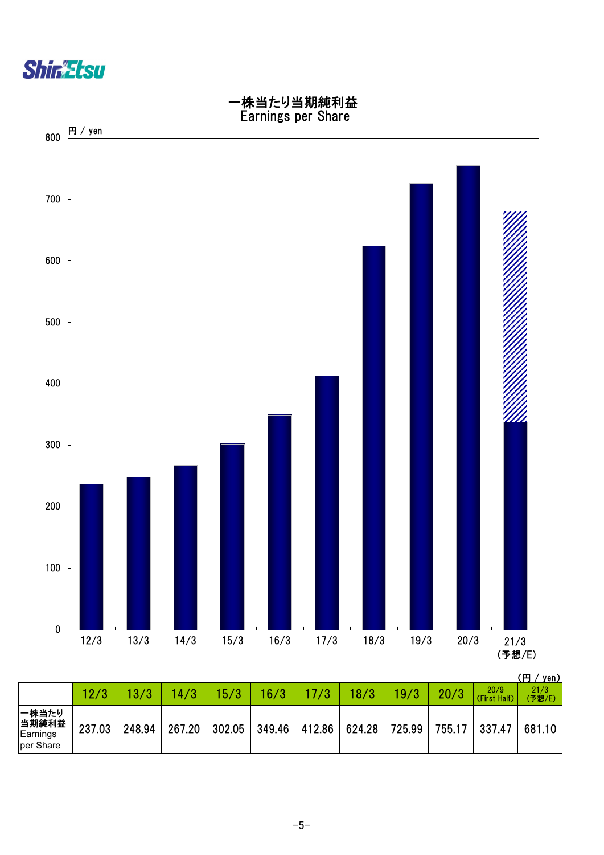



|                                          |        |        |        |        |        |        |        |        |        |                      | \  <i>     </i> JVII <i>I</i> |
|------------------------------------------|--------|--------|--------|--------|--------|--------|--------|--------|--------|----------------------|-------------------------------|
|                                          |        |        | 14/3   | 15/3   | 16/3   |        | 18/3   | 19/3   | 20/3   | 20/9<br>(First Half) | 21/3<br>(予想/E)                |
| 一株当たり<br> 当期純利益<br>Earnings<br>per Share | 237.03 | 248.94 | 267.20 | 302.05 | 349.46 | 412.86 | 624.28 | 725.99 | 755.17 | 337.47               | 681.10                        |

 $-5-$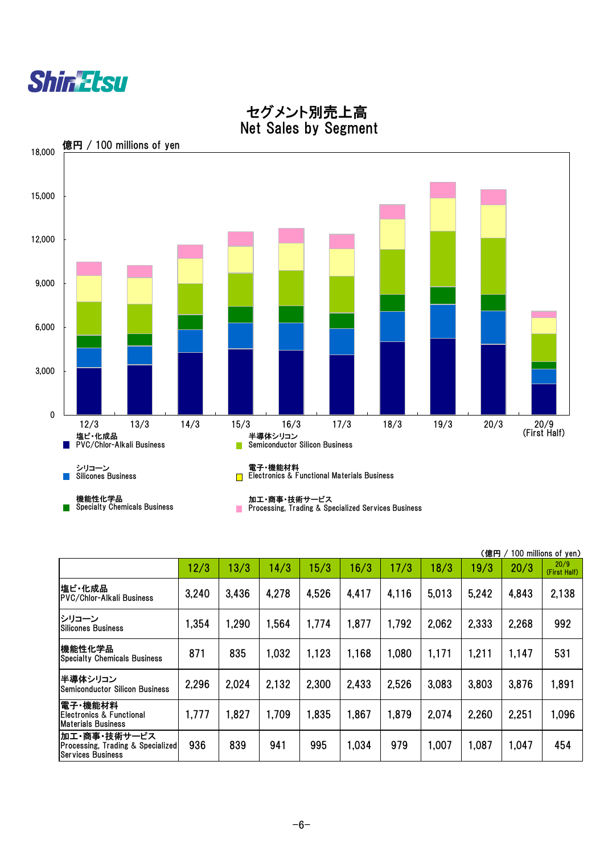|                                                                                          |       |       |       |       |       |       |       | (億円   |       | 100 millions of yen) |
|------------------------------------------------------------------------------------------|-------|-------|-------|-------|-------|-------|-------|-------|-------|----------------------|
|                                                                                          | 12/3  | 13/3  | 14/3  | 15/3  | 16/3  | 17/3  | 18/3  | 19/3  | 20/3  | 20/9<br>(First Half) |
| 塩ビ・化成品<br>PVC/Chlor-Alkali Business                                                      | 3,240 | 3,436 | 4,278 | 4,526 | 4,417 | 4,116 | 5,013 | 5,242 | 4,843 | 2,138                |
| シリコーン<br><b>ISilicones Business</b>                                                      | 1,354 | 1,290 | 1,564 | 1,774 | 1,877 | 1,792 | 2,062 | 2,333 | 2,268 | 992                  |
| 機能性化学品<br><b>Specialty Chemicals Business</b>                                            | 871   | 835   | 1,032 | 1,123 | 1,168 | 1,080 | 1,171 | 1,211 | 1,147 | 531                  |
| 半導体シリコン<br><b>Semiconductor Silicon Business</b>                                         | 2,296 | 2,024 | 2,132 | 2,300 | 2,433 | 2,526 | 3,083 | 3,803 | 3,876 | 1,891                |
| 電子・機能材料 <br> Electronics & Functional<br><b>Materials Business</b>                       | 1,777 | 1,827 | 1,709 | 1,835 | 1,867 | 1,879 | 2,074 | 2,260 | 2,251 | 1,096                |
| 加工・商事・技術サービス<br><b>Processing, Trading &amp; Specialized</b><br><b>Services Business</b> | 936   | 839   | 941   | 995   | 1,034 | 979   | 1,007 | 1,087 | 1,047 | 454                  |

 $-6-$ 



## セグメント別売上高 Net Sales by Segment

 $\mathbb{R}^n$ Processing, Trading & Specialized Services Business

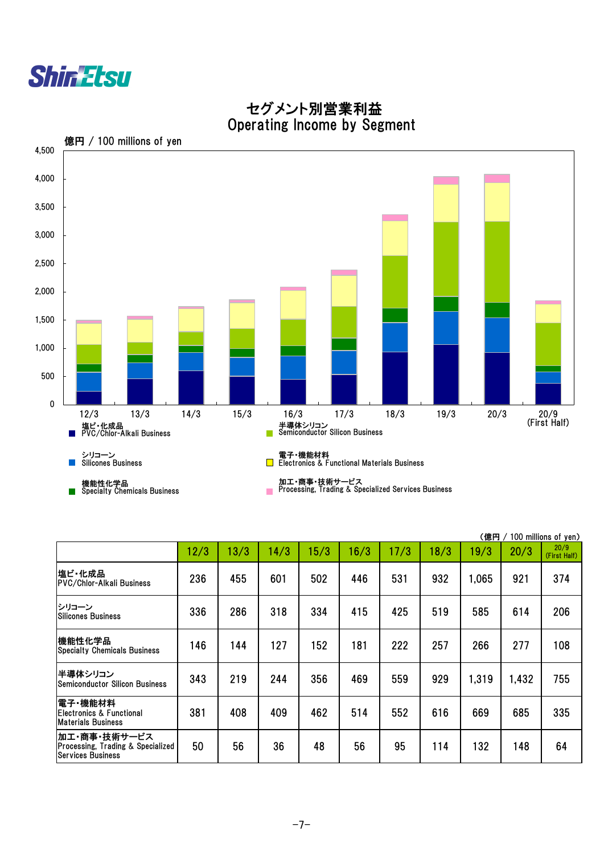|                                               |      |      |      |      |      |      |      | (億円   |      | 100 millions of yen) |
|-----------------------------------------------|------|------|------|------|------|------|------|-------|------|----------------------|
|                                               | 12/3 | 13/3 | 14/3 | 15/3 | 16/3 | 17/3 | 18/3 | 19/3  | 20/3 | 20/9<br>(First Half) |
| 塩ビ・化成品<br><b>PVC/Chlor-Alkali Business</b>    | 236  | 455  | 601  | 502  | 446  | 531  | 932  | 1,065 | 921  | 374                  |
| トンリコーン<br>Silicones Business                  | 336  | 286  | 318  | 334  | 415  | 425  | 519  | 585   | 614  | 206                  |
| 機能性化学品<br><b>Specialty Chemicals Business</b> | 46   | 144  | 127  | 152  | 181  | 222  | 257  | 266   | 277  | 108                  |
|                                               |      |      |      |      |      |      |      |       |      |                      |



 セグメント別営業利益 Operating Income by Segment

| 半導体シリコン<br>Semiconductor Silicon Business                                                | 343 | 219 | 244 | 356 | 469 | 559 | 929 | 1,319 | 1,432 | 755 |
|------------------------------------------------------------------------------------------|-----|-----|-----|-----|-----|-----|-----|-------|-------|-----|
| 電子・機能材料<br>Electronics & Functional<br><b>Materials Business</b>                         | 381 | 408 | 409 | 462 | 514 | 552 | 616 | 669   | 685   | 335 |
| 加工・商事・技術サービス<br><b>Processing, Trading &amp; Specialized</b><br><b>Services Business</b> | 50  | 56  | 36  | 48  | 56  | 95  | 14  | 132   | 48    | 64  |

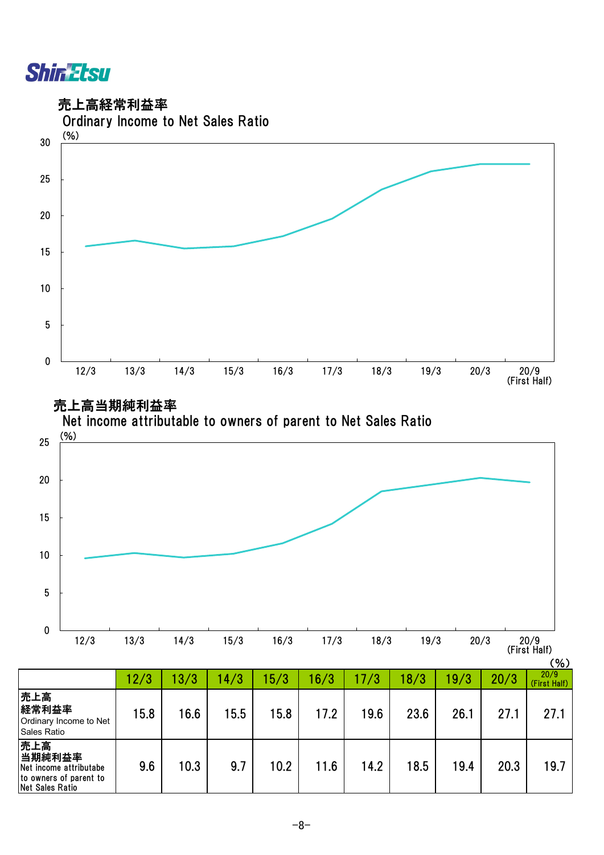

売上高

当期純利益率 Net income attributabe to owners of parent to Net Sales Ratio

売上高経常利益率



9.6 | 10.3 | 9.7 | 10.2 | 11.6 | 14.2 | 18.5 | 19.4 | 20.3 | 19.7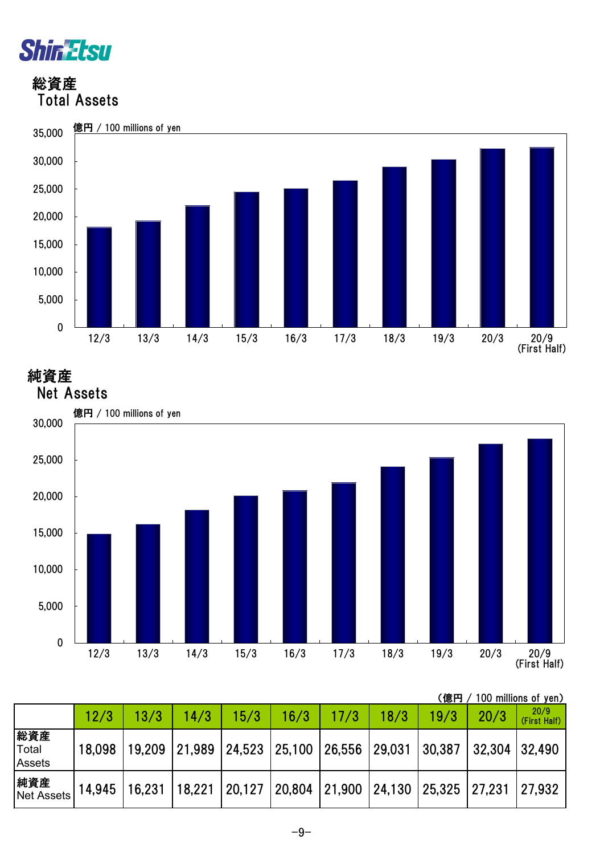

 総資産 Total Assets



純資産



|  |  |  | (億円 / 100 millions of yen) |  |  |
|--|--|--|----------------------------|--|--|
|--|--|--|----------------------------|--|--|

|                               | 12/3   | 13/3   | 14/3                                                                  | 15/3 | 16/3 | 17/3 | 18/3 | 19/3 | 20/3          | 20/9<br>(First Half) |
|-------------------------------|--------|--------|-----------------------------------------------------------------------|------|------|------|------|------|---------------|----------------------|
| 総資産<br>Total<br><b>Assets</b> | 18,098 | 19,209 | 21,989   24,523   25,100   26,556   29,031   30,387                   |      |      |      |      |      | 32,304 32,490 |                      |
| 純資産<br>Net Assets             | 14,945 | 16,231 | 18,221   20,127   20,804   21,900   24,130   25,325   27,231   27,932 |      |      |      |      |      |               |                      |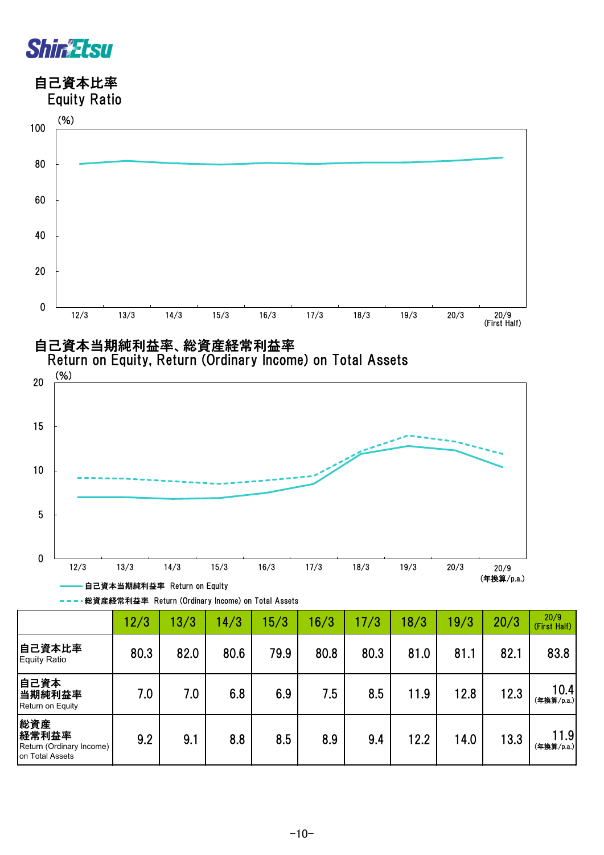

自己資本比率



自己資本当期純利益率、総資産経常利益率



Return on Equity, Return (Ordinary Income) on Total Assets

総資産経常利益率 Return (Ordinary Income) on Total Assets

|                                                             | 12/3 | 13/3 | 14/3 | 15/3 | 16/3 | 17/3 | 18/3 | 19/3 | 20/3 | 20/9<br>(First Half) |  |
|-------------------------------------------------------------|------|------|------|------|------|------|------|------|------|----------------------|--|
| 自己資本比率<br><b>Equity Ratio</b>                               | 80.3 | 82.0 | 80.6 | 79.9 | 80.8 | 80.3 | 81.0 | 81.1 | 82.1 | 83.8                 |  |
| 自己資本<br>当期純利益率<br>Return on Equity                          | 7.0  | 7.0  | 6.8  | 6.9  | 7.5  | 8.5  | 11.9 | 12.8 | 12.3 | 10.4<br>(年換算/p.a.)   |  |
| 総資産<br>経常利益率<br>Return (Ordinary Income)<br>on Total Assets | 9.2  | 9.1  | 8.8  | 8.5  | 8.9  | 9.4  | 12.2 | 14.0 | 13.3 | 11.9<br>(年換算/p.a.)   |  |